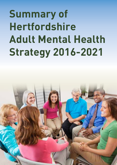# **Summary of Hertfordshire Adult Mental Health Strategy 2016-2021**

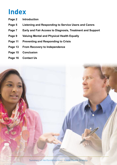### **Index**

- **Page 2 Introduction**
- **Page 5 Listening and Responding to Service Users and Carers**
- **Page 7 Early and Fair Access to Diagnosis, Treatment and Support**
- **Page 9 Valuing Mental and Physical Health Equally**
- **Page 11 Preventing and Responding to Crisis**
- **Page 13 From Recovery to Independence**
- **Page 15 Conclusion**
- **Page 16 Contact Us**



Summary of Hertfordshire Adult Mental Health Strategy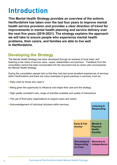### **Introduction**

**This Mental Health Strategy provides an overview of the actions Hertfordshire has taken over the last four years to improve mental health service provision and provides a clear direction of travel for improvements in mental health planning and service delivery over the next five years (2016-2021). The strategy explains the approach we will take to ensure people who experience mental health problems, their carers, and families are able to live well in Hertfordshire.**

#### **Developing the Strategy**

The Mental Health Strategy has been developed through an analysis of local need, and listening to the views of service users, carers, stakeholders and partners. Feedback from the consultation period has been incorporated into the document and an action plan accompanies the Mental Health Strategy.

During the consultation people told us that they had had some excellent experiences of services within Hertfordshire and there are many examples of good practices in services, such as:

- Daily visits for those who need it.
- Being given the opportunity to influence and shape their care and the strategy.
- High quality consistent care, range of activities available and quality of interactions.
- The use of third party organisations to support users and carers.
- Acknowledgement of individual clinicians within services.

|                                                           | <b>Listening &amp;</b><br><b>Responding</b>              |
|-----------------------------------------------------------|----------------------------------------------------------|
| <b>Early &amp; Fair</b><br><b>Access</b>                  | Mental &<br><b>Physical</b><br>Health<br><b>Equality</b> |
| <b>Preventing &amp;</b><br><b>Responding</b><br>to Crisis | <b>Recovery to</b><br>Independence                       |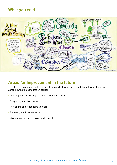#### **What you said**



#### **Areas for improvement in the future**

The strategy is grouped under five key themes which were developed through workshops and agreed during the consultation period:

- Listening and responding to service users and carers.
- Easy, early and fair access.
- Preventing and responding to crisis.
- Recovery and independence.
- Valuing mental and physical health equally.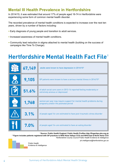#### **Mental Ill Health Prevalence in Hertfordshire**

In 2014/15, it was estimated that around 17% of people aged 16-74 in Hertfordshire were experiencing some form of common mental health disorder.

The recorded prevalence of mental health conditions is expected to increase over the next ten years, driven by a number of factors including:

- Early diagnosis of young people and transition to adult services.
- Increased awareness of mental health conditions.
- Community lead reduction in stigma attached to mental health (building on the success of campaigns like Time To Change).

### **Hertfordshire Mental Health Fact File**†

| 67,149 | adults were known to have depression in 2014/15*                                                              |
|--------|---------------------------------------------------------------------------------------------------------------|
| 9,105  | GP patients were known to have a serious mental illness in 2014/15*                                           |
| 51.6%  | of adult social care users in 2013-14 reported feeling moderately or<br>extremely anxious or depressed        |
| 1,768  | women per year may require support for mental health problems during<br>pregnancy and/or the postnatal period |
| 3.1%   | of people aged 16+ are estimated to have post-traumatic stress disorder                                       |
| 7.0%   | of people aged 16+ are estimated to have an eating disorder                                                   |

**† Source: Public Health England, Public Health Profiles http://fingertips.phe.org.uk \* Figure includes patients registered with GP practices in NHS Herts Valleys CCG and NHS East & North Herts CCG** Hertfordshire County Council Public Health Evidence & Intelligence ph.intelligence@hertfordshire.gov.uk



Evidence & Intelligence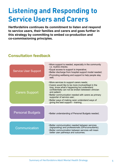## **Listening and Responding to Service Users and Carers**

Hertfordshire continues its commitment to listen and respond<br>to service users, their families and carers and goes further in **to service users, their families and carers and goes further in this strategy by committing to embed co-production and CO-commissioning principles.** The continues its commitment to listen and response users, the continues of the co and carers and goes further in this strategy by committing to embed co-production and co-production and co-pro

#### **Consultation feedback Consultation feedback**

| <b>Service User Support</b> | •More support is needed, especially in the community<br>i.e. routine checks;<br>. Equal access to support is imperative;<br>•Better discharge from hospital support model needed;<br>• Promoting wellbeing and support to help people stay<br>well;                                                                                                                                                 |
|-----------------------------|-----------------------------------------------------------------------------------------------------------------------------------------------------------------------------------------------------------------------------------------------------------------------------------------------------------------------------------------------------------------------------------------------------|
| <b>Carers Support</b>       | •More services to support carers needs;<br>• Carers would like to be more involved/kept in the<br>loop, know what's happening but understand<br>confidentially can not be broken betweeen clinician<br>and patient;<br>• Better communication needed with carers as primary<br>supporter of service user;<br>•Better ways of making carer understand ways of<br>giving the best support - training; |
| <b>Personal Budgets</b>     | •Better understanding of Personal Budgets needed;                                                                                                                                                                                                                                                                                                                                                   |
| Communication               | • Better communication needed between services<br>(signposting) and professionals (GPs/consultants);<br>• Better communication between services will mean<br>better user pathways and outcomes;                                                                                                                                                                                                     |

Page 4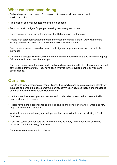- Embedding co-production and focusing on outcomes for all new mental health service provision.
- Promotion of personal budgets and self-direct support.
- Personal health budgets for people receiving continuing health care.
- Co-producing areas of focus for personal health budgets in Hertfordshire.
- People with personal budgets are offered the option of having a broker work with them to identify community resources that will meet their social care needs.
- Brokers use a person centred approach to design and implement a support plan with the individual.
- Consult and engage with stakeholders through Mental Health Planning and Partnership group, GP Leads and Health Watch meetings.
- Carers for someone with mental health problems have contributed to the planning and support of the people they care for. They have been involved in the development of services and specifications.

- People with lived experience of mental illness, their families and carers are able to effectively influence and shape the development, planning, commissioning, mobilisation and monitoring of mental health services across Hertfordshire.
- Hertfordshire has meaningful involvement and collaboration in service improvement with people who use the service.
- People have more independence to exercise choice and control over where, when and how they receive care and support.
- Work with statutory, voluntary and independent partners to implement the Making it Real principles.
- Work with carers and our partners in the statutory, voluntary and independent sectors to deliver on our Joint Strategy for Carers.
- Commission a new user voice network.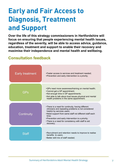#### regardless of the severity, will be able to access advice, guidance, education, treatment and support to enable their recovery and **maximise their independence and mental health and wellbeing. Consultation feedback Consultation feedback** peap on endering man people experiencing mental health is

**Early and Fair Access to Early and Fair Access to** 

**and Support**

and Supp

Diagnosis, Treatment

**Over the life of this strategy commissioners in Hertfordshire will**  focus on ensuring that people experiencing mental health issues,

| Early treatment | . Faster access to services and treatment needed;<br>• Prevention and early intervention is a priority;                                                                                                                                                                                                                              |
|-----------------|--------------------------------------------------------------------------------------------------------------------------------------------------------------------------------------------------------------------------------------------------------------------------------------------------------------------------------------|
| GPs             | . GPs need more awareness/training on mental health;<br>•Cannot get a GP appointment;<br>. Not enough time in GP appointments;<br>. Not able to talk about dual issues physical and mental<br>health problems in the same appointment;                                                                                               |
| Continuity      | • There is a need for continuity, having different<br>clinicians and repeating problems is not considered<br>helpful by services users;<br>•Need support from same staff not different staff each<br>time:<br>• Prevention and early intervention is a priority;<br>• There is a need for consistency with staff to aid<br>recovery; |
| Staff           | • Recruitment and retention needs to improve to realise<br>benefits to users;<br>•Better skill mix of staff needed;                                                                                                                                                                                                                  |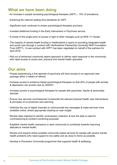- An increase in people accessing psychological therapies (IAPT) 15% of prevalence.
- Achieving the national waiting time standards for IAPT.
- Significant work continues to review psychological therapies provision.
- Invested additional funding in the Early Intervention in Psychosis service.
- A review of the single point of access in light of other changes such as NHS 111 tender.
- The majority of mental health funding in Hertfordshire is spent on providing integrated health and social care through a contract with Hertfordshire Partnership University NHS Foundation Trust (HPFT). A new contract with HPFT has been negotiated on behalf of the partners for April 2016.
- Roll out of enhanced community teams approach to deliver rapid response in the community, with rapid access to social care, physical and mental health specialist.

- People experiencing a first episode of psychosis will have access to an approved care package within 2 weeks of referral.
- Increase access to evidence based psychological therapies so that 25% of people with anxiety & depression can access care by 2020/21.
- Increase access to psychological therapies for people with psychosis, bipolar & personality disorder.
- Ensure new services commissioned incorporate the relevant physical health care interventions & principles of co-produced care planning.
- Optimise the use of digital channels to communicate key messages & make services more available online, where appropriate drawing on user insight.
- Review data collected to identify unnecessary collection & how the data is used for commissioning & contract monitoring purposes.
- Establish mental health champions in each community to contribute towards improving attitudes to mental health.
- Review and expand where possible community based services for people with severe mental health problems who need support to live safely and as close to home as possible.
- Develop a Prevention Concordat programme that supports health & wellbeing.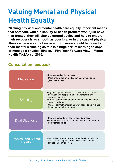### **Valuing Mental and Physical Health Equally Valuing Mental and**

**Theoret in Equal of Physical Serversi**<br>"Making physical and mental health care equally important means **that someone with a disability or health problem won't just have that treated, they will also be offered advice and help to ensure**  their recovery is as smooth as possible, or in the case of physical illness a person cannot recover from, more should be done for their mental wellbeing as this is a huge part of learning to cope or manage a physical illness." Five Year Forward View - Mental **Health Taskforce, 2016.**  $\frac{1}{2}$  and  $\frac{1}{2}$  and  $\frac{1}{2}$  and  $\frac{1}{2}$  in portant means that someone with a someone with a someone with a someone with a someone with a someone with a someone with a someone with a someone with a someone with  $\mathfrak m$ disability will also be offered advice and help to ensur

#### **Consultation feedback Consultation feedback**

| <b>Medication</b>                           | . Improve medication reviews;<br>•More knowledge on medication side effects to be<br>given to the user;                                                                                                                                                                                                    |
|---------------------------------------------|------------------------------------------------------------------------------------------------------------------------------------------------------------------------------------------------------------------------------------------------------------------------------------------------------------|
| Smoking                                     | • Against 'inpatient units to be smoke free ' feel it's a<br>deprivation of people's rights, inappropriate and<br>carries a high risk;<br>• Clearer communication about the smoking cessation<br>support available;<br>• Clearer commitment around what needs to be in place<br>to make smoke free happen; |
| <b>Dual Diagnosis</b>                       | . Improve support/services for dual diagnosis;<br>•Mental health and drug and alcohol services need to<br>be better joined up;                                                                                                                                                                             |
| <b>Physical and Mental</b><br><b>Health</b> | • Supportive of physical and mental health equality, i.e.<br>if you break a leg its quickly fixed, yet waiting for<br>counselling can take years;                                                                                                                                                          |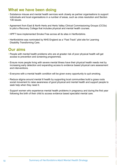- Substance misuse and mental health services work closely as partner organisations to support individuals and local organisations in a number of areas, such as crisis resolution and Section 136 issues.
- Agreement from East & North Herts and Herts Valley Clinical Commissioning Groups (CCGs) to pilot a Recovery College that includes physical and mental health courses.
- HPFT have implemented Smoke Free across all its sites in Hertfordshire.
- Hertfordshire was nominated by NHS England as a "Fast Track" pilot site for Learning Disability Transforming Care.

- People with mental health problems who are at greater risk of poor physical health will get access to prevention and screening programmes.
- Ensure more people living with severe mental illness have their physical health needs met by increasing early detection and expanding access to evidence based physical care assessment and interventions.
- Everyone with a mental health condition will be given every opportunity to quit smoking.
- Reduce stigma around mental ill health by supporting local communities build a grass roots social movement to raise awareness of good physical and mental health and support people to seek help when they need it.
- Support women who experience mental health problems in pregnancy and during the first year following the birth of their child to access evidence based specialist mental care.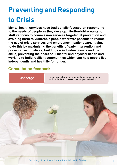## **Preventing and Responding to Crisis**

**Mental health services have traditionally focused on responding to the needs of people as they develop. Hertfordshire wants to shift its focus to commission services targeted at prevention and avoiding harm to vulnerable people wherever possible to reduce**  the use of crisis services and emergency inpatient care. It aims to do this by maximising the benefits of early intervention and preventative initiatives; building on individual assets and life skills, preventing the onset of ill mental and physical health and working to build resilient communities which can help people live **independently and healthily for longer. Mental health services have traditionally focused on**<br>to the needs of people as they develop. Hertfordshi of the local to commodern corricol targeted at provention as avolullig hartforwallerable people wherever possible to rec

#### **Consultation feedback Consultation feedback**

I

**For Discharge Communications, in consultation Discharge views** with patients and carers plus support networks;



Summary of Hertfordshire Adult Mental Health Strategy 11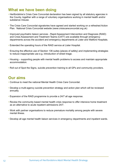- Hertfordshire's Crisis Care Concordat declaration has been signed by all statutory agencies in the County, together with a range of voluntary organisations working in mental health and/or substance misuse.
- The Crisis Care Concordat signatories have agreed and started working on a refreshed Action Plan. National Crisis Concordat website (www.crisiscareconcordat.org.uk)
- Improved psychiatric liaison services Rapid Assessment Intervention and Diagnosis (RAID) and Crisis Assessment and Treatment Teams (CATT) are available through emergency departments across the accident and emergency departments at Lister and Watford Hospitals.
- Extended the operating hours of the RAID service at Lister Hospital.
- Ensuring the effective use of Section 136 suites (places of safety) and implementing strategies to reduce inappropriate use e.g. introduction of street triage.
- Housing supporting people with mental health problems to access and maintain appropriate accommodation.
- Roll out of Spot the Signs, suicide prevention training to all GPs and community providers.

- Continue to meet the national Mental Health Crisis Care Concordat.
- Develop a multi-agency suicide prevention strategy and action plan which will be reviewed annually.
- Expansion of the RAID programme to provide a 24/7 all age response.
- Review the community based mental health crisis response to offer intensive home treatment as an alternative to acute inpatient admissions 24/7.
- Work with partner organisations to reduce premature mortality among people with severe mental illness.
- Develop all age mental health liaison services in emergency departments and inpatient wards.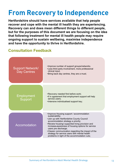### **From Recovery to Independence From Recovery to**

**Hertfordshire should have services available that help people**  Hertfordshire should have services available that help people<br>recover and cope with the mental ill health they are experiencing. **Recovery can and does mean different things to different people,**  but for the purposes of this document we are focusing on the idea that following treatment for mental ill health people may require **ongoing support to sustain wellbeing, maximise independence**  and have the opportunity to thrive in Hertfordshire.  $\frac{d}{dt}$ following support to sustain wententy, maximise muepend

#### **Consultation Feedback Consultation Feedback**



Page 13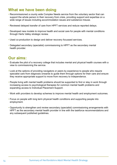- Recommissioned a county wide Complex Needs service from the voluntary sector that can support the whole person in their recovery from crisis, providing support and expertise on a wide range of issues including accommodation issues and substance misuse.
- Reviewed delayed transfer of care from HPFT services and reduce reported delays.
- Developed new models to improve health and social care for people with mental conditions through Herts Valley strategic review.
- Used co-production to design and deliver recovery focussed services.
- Delegated secondary (specialist) commissioning to HPFT as the secondary mental health provider.

- Evaluate the pilot of a recovery college that includes mental and physical health courses with a view to commissioning the service.
- Look at the options of providing navigators or peers by experience to people who require specialist care from diagnosis onwards to guide them through options for their care and ensure they receive appropriate support to move from recovery to independence.
- People living with mental health problems should be supported to find or stay in work through increasing access to psychological therapies for common mental health problems and expanding access to Individual Placement Support.
- Work with providers to develop schemes to improve mental health and employment outcomes.
- Focus on people with long term physical health conditions and supporting people into employment.
- Opportunity to strengthen and review secondary (specialist) commissioning arrangements with HPFT as the secondary mental health provider in line with the taskforce recommendations and any subsequent published quidelines.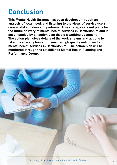### **Conclusion**

**This Mental Health Strategy has been developed through an analysis of local need, and listening to the views of service users, carers, stakeholders and partners. This strategy sets out plans for the future delivery of mental health services in Hertfordshire and is accompanied by an action plan that is a working document. The action plan gives details of the work streams and actions to take this strategy forward to ensure high quality outcomes for mental health services in Hertfordshire. The action plan will be monitored through the established Mental Health Planning and Performance Group.** 

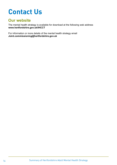### **Contact Us**

#### **Our website**

The mental health strategy is available for download at the following web address **www.hertfordshire.gov.uk/IHCCT** 

For information or more details of the mental health strategy email **Joint.commissioning@hertfordshire.gov.uk**